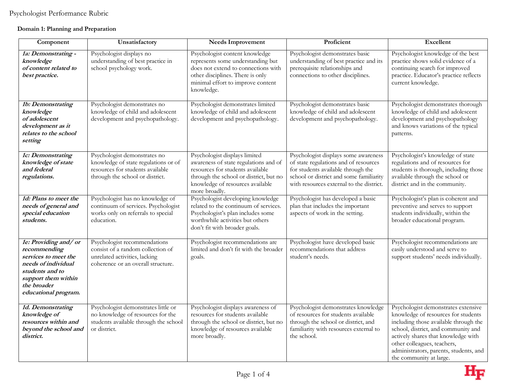### **Domain 1: Planning and Preparation**

| Component                                                                                                                                                            | Unsatisfactory                                                                                                                              | <b>Needs Improvement</b>                                                                                                                                                                                  | Proficient                                                                                                                                                                                                 | Excellent                                                                                                                                                                                                                                                                                             |
|----------------------------------------------------------------------------------------------------------------------------------------------------------------------|---------------------------------------------------------------------------------------------------------------------------------------------|-----------------------------------------------------------------------------------------------------------------------------------------------------------------------------------------------------------|------------------------------------------------------------------------------------------------------------------------------------------------------------------------------------------------------------|-------------------------------------------------------------------------------------------------------------------------------------------------------------------------------------------------------------------------------------------------------------------------------------------------------|
| 1a: Demonstrating -<br>knowledge<br>of content related to<br>best practice.                                                                                          | Psychologist displays no<br>understanding of best practice in<br>school psychology work.                                                    | Psychologist content knowledge<br>represents some understanding but<br>does not extend to connections with<br>other disciplines. There is only<br>minimal effort to improve content<br>knowledge.         | Psychologist demonstrates basic<br>understanding of best practice and its<br>prerequisite relationships and<br>connections to other disciplines.                                                           | Psychologist knowledge of the best<br>practice shows solid evidence of a<br>continuing search for improved<br>practice. Educator's practice reflects<br>current knowledge.                                                                                                                            |
| 1b: Demonstrating<br>knowledge<br>of adolescent<br>development as it<br>relates to the school<br>setting                                                             | Psychologist demonstrates no<br>knowledge of child and adolescent<br>development and psychopathology.                                       | Psychologist demonstrates limited<br>knowledge of child and adolescent<br>development and psychopathology.                                                                                                | Psychologist demonstrates basic<br>knowledge of child and adolescent<br>development and psychopathology.                                                                                                   | Psychologist demonstrates thorough<br>knowledge of child and adolescent<br>development and psychopathology<br>and knows variations of the typical<br>patterns.                                                                                                                                        |
| 1c: Demonstrating<br>knowledge of state<br>and federal<br>regulations.                                                                                               | Psychologist demonstrates no<br>knowledge of state regulations or of<br>resources for students available<br>through the school or district. | Psychologist displays limited<br>awareness of state regulations and of<br>resources for students available<br>through the school or district, but no<br>knowledge of resources available<br>more broadly. | Psychologist displays some awareness<br>of state regulations and of resources<br>for students available through the<br>school or district and some familiarity<br>with resources external to the district. | Psychologist's knowledge of state<br>regulations and of resources for<br>students is thorough, including those<br>available through the school or<br>district and in the community.                                                                                                                   |
| 1d: Plans to meet the<br>needs of general and<br>special education<br>students.                                                                                      | Psychologist has no knowledge of<br>continuum of services. Psychologist<br>works only on referrals to special<br>education.                 | Psychologist developing knowledge<br>related to the continuum of services.<br>Psychologist's plan includes some<br>worthwhile activities but others<br>don't fit with broader goals.                      | Psychologist has developed a basic<br>plan that includes the important<br>aspects of work in the setting.                                                                                                  | Psychologist's plan is coherent and<br>preventive and serves to support<br>students individually, within the<br>broader educational program.                                                                                                                                                          |
| 1e: Providing and/or<br>recommending<br>services to meet the<br>needs of individual<br>students and to<br>support them within<br>the broader<br>educational program. | Psychologist recommendations<br>consist of a random collection of<br>unrelated activities, lacking<br>coherence or an overall structure.    | Psychologist recommendations are<br>limited and don't fit with the broader<br>goals.                                                                                                                      | Psychologist have developed basic<br>recommendations that address<br>student's needs.                                                                                                                      | Psychologist recommendations are<br>easily understood and serve to<br>support students' needs individually.                                                                                                                                                                                           |
| 1d. Demonstrating<br>knowledge of<br>resources within and<br>beyond the school and<br>district.                                                                      | Psychologist demonstrates little or<br>no knowledge of resources for the<br>students available through the school<br>or district.           | Psychologist displays awareness of<br>resources for students available<br>through the school or district, but no<br>knowledge of resources available<br>more broadly.                                     | Psychologist demonstrates knowledge<br>of resources for students available<br>through the school or district, and<br>familiarity with resources external to<br>the school.                                 | Psychologist demonstrates extensive<br>knowledge of resources for students<br>including those available through the<br>school, district, and community and<br>actively shares that knowledge with<br>other colleagues, teachers,<br>administrators, parents, students, and<br>the community at large. |

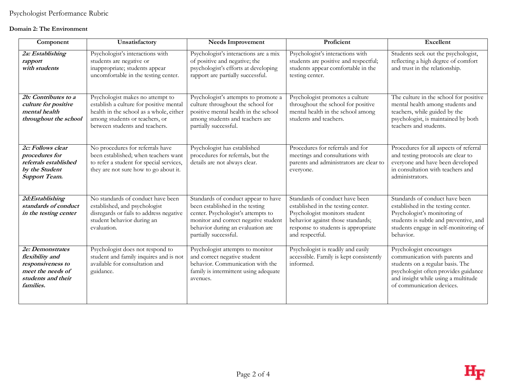#### **Domain 2: The Environment**

| Component                                                                                                        | Unsatisfactory                                                                                                                                                                             | <b>Needs Improvement</b>                                                                                                                                                                                           | Proficient                                                                                                                                                                                           | <b>Excellent</b>                                                                                                                                                                                          |
|------------------------------------------------------------------------------------------------------------------|--------------------------------------------------------------------------------------------------------------------------------------------------------------------------------------------|--------------------------------------------------------------------------------------------------------------------------------------------------------------------------------------------------------------------|------------------------------------------------------------------------------------------------------------------------------------------------------------------------------------------------------|-----------------------------------------------------------------------------------------------------------------------------------------------------------------------------------------------------------|
| 2a: Establishing<br>rapport<br>with students                                                                     | Psychologist's interactions with<br>students are negative or<br>inappropriate; students appear<br>uncomfortable in the testing center.                                                     | Psychologist's interactions are a mix<br>of positive and negative; the<br>psychologist's efforts at developing<br>rapport are partially successful.                                                                | Psychologist's interactions with<br>students are positive and respectful;<br>students appear comfortable in the<br>testing center.                                                                   | Students seek out the psychologist,<br>reflecting a high degree of comfort<br>and trust in the relationship.                                                                                              |
| 2b: Contributes to a<br>culture for positive<br>mental health<br>throughout the school                           | Psychologist makes no attempt to<br>establish a culture for positive mental<br>health in the school as a whole, either<br>among students or teachers, or<br>between students and teachers. | Psychologist's attempts to promote a<br>culture throughout the school for<br>positive mental health in the school<br>among students and teachers are<br>partially successful.                                      | Psychologist promotes a culture<br>throughout the school for positive<br>mental health in the school among<br>students and teachers.                                                                 | The culture in the school for positive<br>mental health among students and<br>teachers, while guided by the<br>psychologist, is maintained by both<br>teachers and students.                              |
| 2c: Follows clear<br>procedures for<br>referrals established<br>by the Student<br><b>Support Team.</b>           | No procedures for referrals have<br>been established; when teachers want<br>to refer a student for special services,<br>they are not sure how to go about it.                              | Psychologist has established<br>procedures for referrals, but the<br>details are not always clear.                                                                                                                 | Procedures for referrals and for<br>meetings and consultations with<br>parents and administrators are clear to<br>everyone.                                                                          | Procedures for all aspects of referral<br>and testing protocols are clear to<br>everyone and have been developed<br>in consultation with teachers and<br>administrators.                                  |
| 2d:Establishing<br>standards of conduct<br>in the testing center                                                 | No standards of conduct have been<br>established, and psychologist<br>disregards or fails to address negative<br>student behavior during an<br>evaluation.                                 | Standards of conduct appear to have<br>been established in the testing<br>center. Psychologist's attempts to<br>monitor and correct negative student<br>behavior during an evaluation are<br>partially successful. | Standards of conduct have been<br>established in the testing center.<br>Psychologist monitors student<br>behavior against those standards;<br>response to students is appropriate<br>and respectful. | Standards of conduct have been<br>established in the testing center.<br>Psychologist's monitoring of<br>students is subtle and preventive, and<br>students engage in self-monitoring of<br>behavior.      |
| 2e: Demonstrates<br>flexibility and<br>responsiveness to<br>meet the needs of<br>students and their<br>families. | Psychologist does not respond to<br>student and family inquires and is not<br>available for consultation and<br>guidance.                                                                  | Psychologist attempts to monitor<br>and correct negative student<br>behavior. Communication with the<br>family is intermittent using adequate<br>avenues.                                                          | Psychologist is readily and easily<br>accessible. Family is kept consistently<br>informed.                                                                                                           | Psychologist encourages<br>communication with parents and<br>students on a regular basis. The<br>psychologist often provides guidance<br>and insight while using a multitude<br>of communication devices. |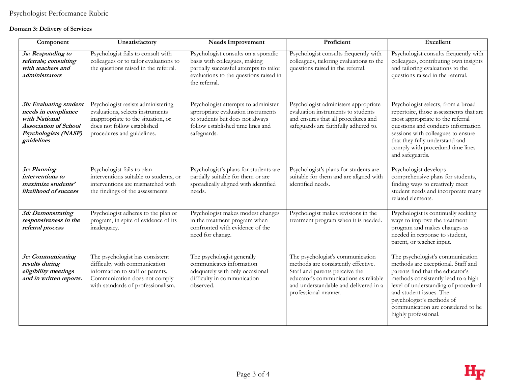### **Domain 3: Delivery of Services**

| Component                                                                                                                            | Unsatisfactory                                                                                                                                                              | <b>Needs Improvement</b>                                                                                                                                                   | Proficient                                                                                                                                                                                                          | Excellent                                                                                                                                                                                                                                                                                                       |
|--------------------------------------------------------------------------------------------------------------------------------------|-----------------------------------------------------------------------------------------------------------------------------------------------------------------------------|----------------------------------------------------------------------------------------------------------------------------------------------------------------------------|---------------------------------------------------------------------------------------------------------------------------------------------------------------------------------------------------------------------|-----------------------------------------------------------------------------------------------------------------------------------------------------------------------------------------------------------------------------------------------------------------------------------------------------------------|
| 3a: Responding to<br>referrals; consulting<br>with teachers and<br>administrators                                                    | Psychologist fails to consult with<br>colleagues or to tailor evaluations to<br>the questions raised in the referral.                                                       | Psychologist consults on a sporadic<br>basis with colleagues, making<br>partially successful attempts to tailor<br>evaluations to the questions raised in<br>the referral. | Psychologist consults frequently with<br>colleagues, tailoring evaluations to the<br>questions raised in the referral.                                                                                              | Psychologist consults frequently with<br>colleagues, contributing own insights<br>and tailoring evaluations to the<br>questions raised in the referral.                                                                                                                                                         |
| 3b: Evaluating student<br>needs in compliance<br>with National<br><b>Association of School</b><br>Psychologists (NASP)<br>guidelines | Psychologist resists administering<br>evaluations, selects instruments<br>inappropriate to the situation, or<br>does not follow established<br>procedures and guidelines.   | Psychologist attempts to administer<br>appropriate evaluation instruments<br>to students but does not always<br>follow established time lines and<br>safeguards.           | Psychologist administers appropriate<br>evaluation instruments to students<br>and ensures that all procedures and<br>safeguards are faithfully adhered to.                                                          | Psychologist selects, from a broad<br>repertoire, those assessments that are<br>most appropriate to the referral<br>questions and conducts information<br>sessions with colleagues to ensure<br>that they fully understand and<br>comply with procedural time lines<br>and safeguards.                          |
| 3c: Planning<br>interventions to<br>maximize students'<br>likelihood of success                                                      | Psychologist fails to plan<br>interventions suitable to students, or<br>interventions are mismatched with<br>the findings of the assessments.                               | Psychologist's plans for students are<br>partially suitable for them or are<br>sporadically aligned with identified<br>needs.                                              | Psychologist's plans for students are<br>suitable for them and are aligned with<br>identified needs.                                                                                                                | Psychologist develops<br>comprehensive plans for students,<br>finding ways to creatively meet<br>student needs and incorporate many<br>related elements.                                                                                                                                                        |
| 3d: Demonstrating<br>responsiveness in the<br>referral process                                                                       | Psychologist adheres to the plan or<br>program, in spite of evidence of its<br>inadequacy.                                                                                  | Psychologist makes modest changes<br>in the treatment program when<br>confronted with evidence of the<br>need for change.                                                  | Psychologist makes revisions in the<br>treatment program when it is needed.                                                                                                                                         | Psychologist is continually seeking<br>ways to improve the treatment<br>program and makes changes as<br>needed in response to student,<br>parent, or teacher input.                                                                                                                                             |
| 3e: Communicating<br>results during<br>eligibility meetings<br>and in written reports.                                               | The psychologist has consistent<br>difficulty with communication<br>information to staff or parents.<br>Communication does not comply<br>with standards of professionalism. | The psychologist generally<br>communicates information<br>adequately with only occasional<br>difficulty in communication<br>observed.                                      | The psychologist's communication<br>methods are consistently effective.<br>Staff and parents perceive the<br>educator's communications as reliable<br>and understandable and delivered in a<br>professional manner. | The psychologist's communication<br>methods are exceptional. Staff and<br>parents find that the educator's<br>methods consistently lead to a high<br>level of understanding of procedural<br>and student issues. The<br>psychologist's methods of<br>communication are considered to be<br>highly professional. |